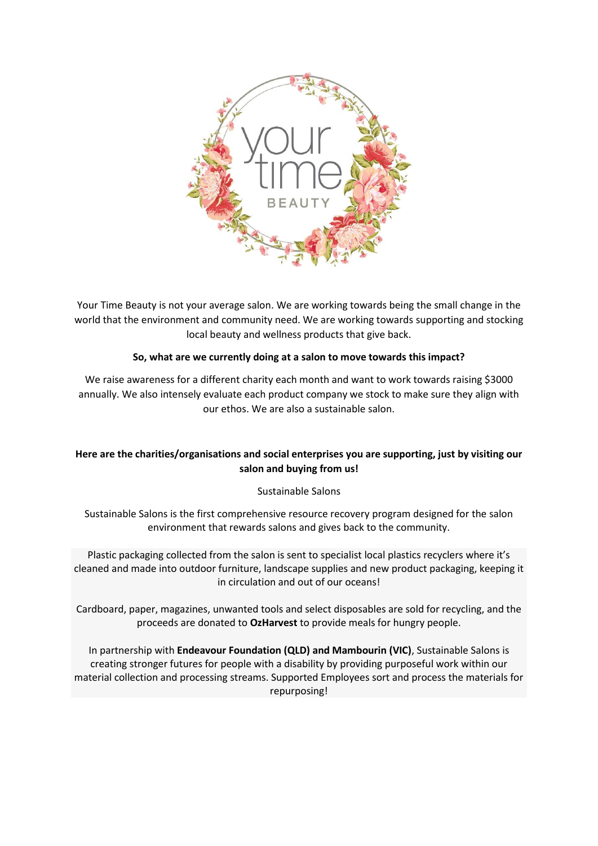

Your Time Beauty is not your average salon. We are working towards being the small change in the world that the environment and community need. We are working towards supporting and stocking local beauty and wellness products that give back.

# **So, what are we currently doing at a salon to move towards this impact?**

We raise awareness for a different charity each month and want to work towards raising \$3000 annually. We also intensely evaluate each product company we stock to make sure they align with our ethos. We are also a sustainable salon.

# **Here are the charities/organisations and social enterprises you are supporting, just by visiting our salon and buying from us!**

# Sustainable Salons

Sustainable Salons is the first comprehensive resource recovery program designed for the salon environment that rewards salons and gives back to the community.

Plastic packaging collected from the salon is sent to specialist local plastics recyclers where it's cleaned and made into outdoor furniture, landscape supplies and new product packaging, keeping it in circulation and out of our oceans!

Cardboard, paper, magazines, unwanted tools and select disposables are sold for recycling, and the proceeds are donated to **OzHarvest** to provide meals for hungry people.

In partnership with **Endeavour Foundation (QLD) and Mambourin (VIC)**, Sustainable Salons is creating stronger futures for people with a disability by providing purposeful work within our material collection and processing streams. Supported Employees sort and process the materials for repurposing!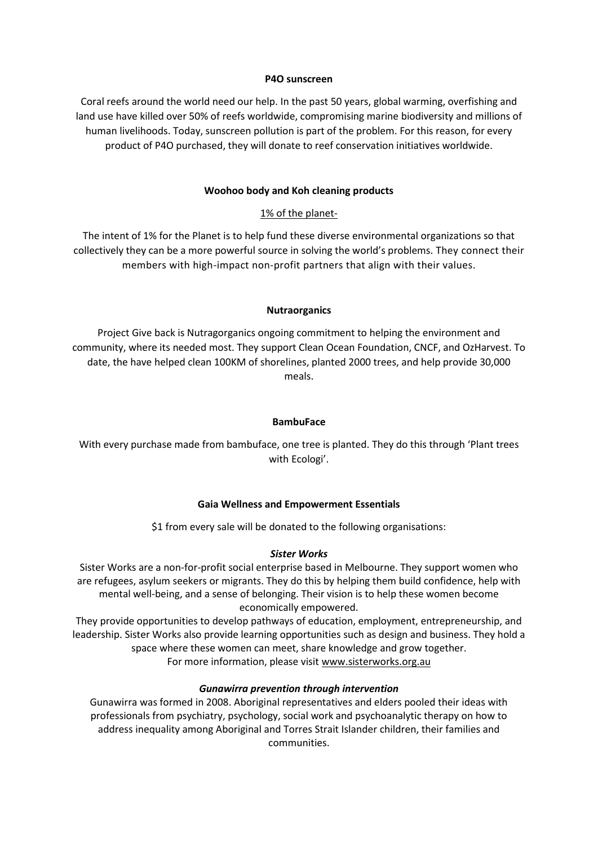#### **P4O sunscreen**

Coral reefs around the world need our help. In the past 50 years, global warming, overfishing and land use have killed over 50% of reefs worldwide, compromising marine biodiversity and millions of human livelihoods. Today, sunscreen pollution is part of the problem. For this reason, for every product of P4O purchased, they will donate to reef conservation initiatives worldwide.

### **Woohoo body and Koh cleaning products**

# 1% of the planet-

The intent of 1% for the Planet is to help fund these diverse environmental organizations so that collectively they can be a more powerful source in solving the world's problems. They connect their members with high-impact non-profit partners that align with their values.

### **Nutraorganics**

Project Give back is Nutragorganics ongoing commitment to helping the environment and community, where its needed most. They support Clean Ocean Foundation, CNCF, and OzHarvest. To date, the have helped clean 100KM of shorelines, planted 2000 trees, and help provide 30,000 meals.

### **BambuFace**

With every purchase made from bambuface, one tree is planted. They do this through 'Plant trees with Ecologi'.

### **Gaia Wellness and Empowerment Essentials**

\$1 from every sale will be donated to the following organisations:

# *Sister Works*

Sister Works are a non-for-profit social enterprise based in Melbourne. They support women who are refugees, asylum seekers or migrants. They do this by helping them build confidence, help with mental well-being, and a sense of belonging. Their vision is to help these women become economically empowered.

They provide opportunities to develop pathways of education, employment, entrepreneurship, and leadership. Sister Works also provide learning opportunities such as design and business. They hold a space where these women can meet, share knowledge and grow together. For more information, please visit [www.sisterworks.org.au](http://www.sisterworks.org.au/)

# *Gunawirra prevention through intervention*

Gunawirra was formed in 2008. Aboriginal representatives and elders pooled their ideas with professionals from psychiatry, psychology, social work and psychoanalytic therapy on how to address inequality among Aboriginal and Torres Strait Islander children, their families and communities.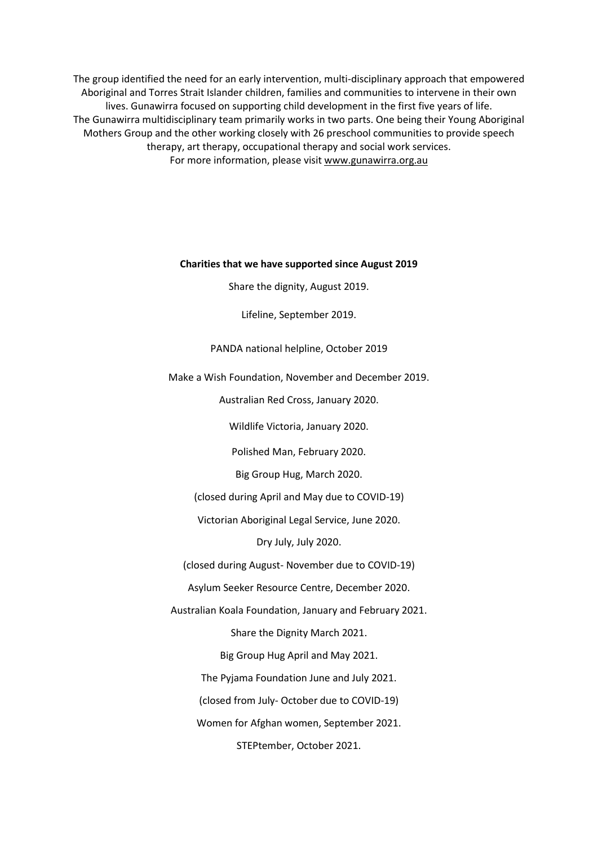The group identified the need for an early intervention, multi-disciplinary approach that empowered Aboriginal and Torres Strait Islander children, families and communities to intervene in their own lives. Gunawirra focused on supporting child development in the first five years of life. The Gunawirra multidisciplinary team primarily works in two parts. One being their Young Aboriginal Mothers Group and the other working closely with 26 preschool communities to provide speech therapy, art therapy, occupational therapy and social work services. For more information, please visit [www.gunawirra.org.au](http://www.gunawirra.org.au/)

#### **Charities that we have supported since August 2019**

Share the dignity, August 2019.

Lifeline, September 2019.

#### PANDA national helpline, October 2019

Make a Wish Foundation, November and December 2019.

Australian Red Cross, January 2020.

Wildlife Victoria, January 2020.

Polished Man, February 2020.

Big Group Hug, March 2020.

(closed during April and May due to COVID-19)

Victorian Aboriginal Legal Service, June 2020.

Dry July, July 2020.

(closed during August- November due to COVID-19)

Asylum Seeker Resource Centre, December 2020.

Australian Koala Foundation, January and February 2021.

Share the Dignity March 2021.

Big Group Hug April and May 2021.

The Pyjama Foundation June and July 2021.

(closed from July- October due to COVID-19)

Women for Afghan women, September 2021.

STEPtember, October 2021.